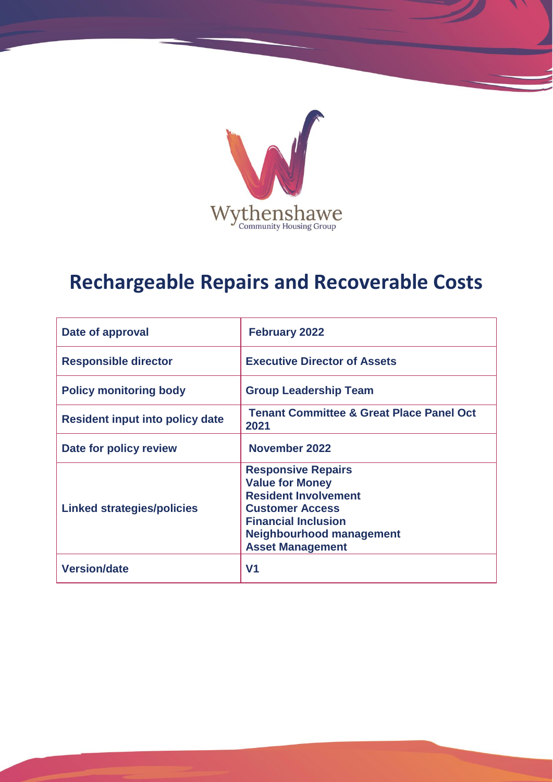

# **Rechargeable Repairs and Recoverable Costs**

| Date of approval                       | <b>February 2022</b>                                                                                                                                                                              |
|----------------------------------------|---------------------------------------------------------------------------------------------------------------------------------------------------------------------------------------------------|
| <b>Responsible director</b>            | <b>Executive Director of Assets</b>                                                                                                                                                               |
| <b>Policy monitoring body</b>          | <b>Group Leadership Team</b>                                                                                                                                                                      |
| <b>Resident input into policy date</b> | <b>Tenant Committee &amp; Great Place Panel Oct</b><br>2021                                                                                                                                       |
| Date for policy review                 | November 2022                                                                                                                                                                                     |
| <b>Linked strategies/policies</b>      | <b>Responsive Repairs</b><br><b>Value for Money</b><br><b>Resident Involvement</b><br><b>Customer Access</b><br><b>Financial Inclusion</b><br>Neighbourhood management<br><b>Asset Management</b> |
| <b>Version/date</b>                    | V <sub>1</sub>                                                                                                                                                                                    |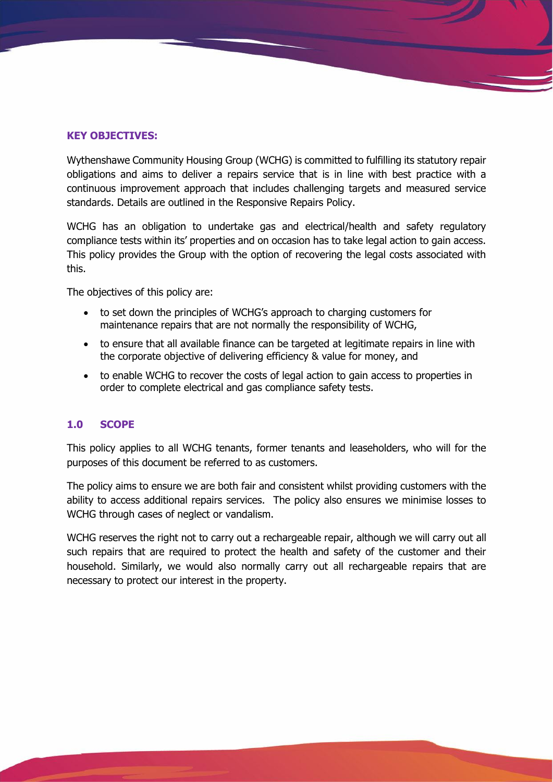# **KEY OBJECTIVES:**

Wythenshawe Community Housing Group (WCHG) is committed to fulfilling its statutory repair obligations and aims to deliver a repairs service that is in line with best practice with a continuous improvement approach that includes challenging targets and measured service standards. Details are outlined in the Responsive Repairs Policy.

WCHG has an obligation to undertake gas and electrical/health and safety regulatory compliance tests within its' properties and on occasion has to take legal action to gain access. This policy provides the Group with the option of recovering the legal costs associated with this.

The objectives of this policy are:

- to set down the principles of WCHG's approach to charging customers for maintenance repairs that are not normally the responsibility of WCHG,
- to ensure that all available finance can be targeted at legitimate repairs in line with the corporate objective of delivering efficiency & value for money, and
- to enable WCHG to recover the costs of legal action to gain access to properties in order to complete electrical and gas compliance safety tests.

# **1.0 SCOPE**

This policy applies to all WCHG tenants, former tenants and leaseholders, who will for the purposes of this document be referred to as customers.

The policy aims to ensure we are both fair and consistent whilst providing customers with the ability to access additional repairs services. The policy also ensures we minimise losses to WCHG through cases of neglect or vandalism.

WCHG reserves the right not to carry out a rechargeable repair, although we will carry out all such repairs that are required to protect the health and safety of the customer and their household. Similarly, we would also normally carry out all rechargeable repairs that are necessary to protect our interest in the property.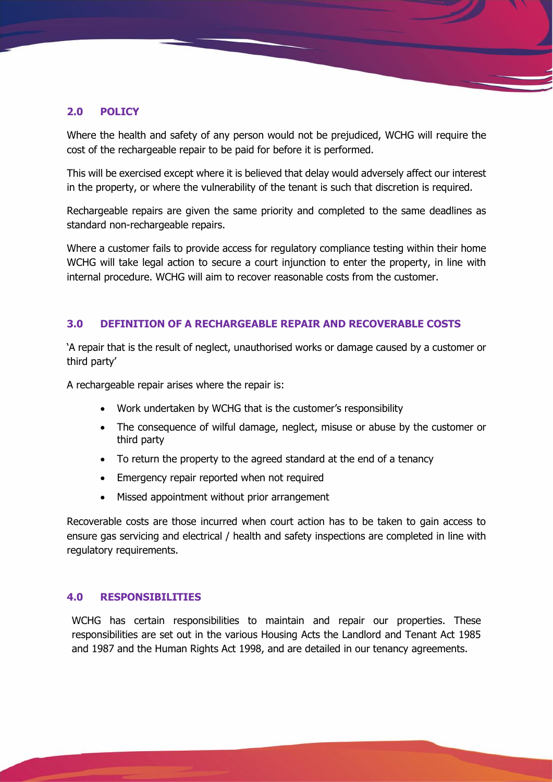## **2.0 POLICY**

Where the health and safety of any person would not be prejudiced, WCHG will require the cost of the rechargeable repair to be paid for before it is performed.

This will be exercised except where it is believed that delay would adversely affect our interest in the property, or where the vulnerability of the tenant is such that discretion is required.

Rechargeable repairs are given the same priority and completed to the same deadlines as standard non-rechargeable repairs.

Where a customer fails to provide access for regulatory compliance testing within their home WCHG will take legal action to secure a court injunction to enter the property, in line with internal procedure. WCHG will aim to recover reasonable costs from the customer.

## **3.0 DEFINITION OF A RECHARGEABLE REPAIR AND RECOVERABLE COSTS**

'A repair that is the result of neglect, unauthorised works or damage caused by a customer or third party'

A rechargeable repair arises where the repair is:

- Work undertaken by WCHG that is the customer's responsibility
- The consequence of wilful damage, neglect, misuse or abuse by the customer or third party
- To return the property to the agreed standard at the end of a tenancy
- Emergency repair reported when not required
- Missed appointment without prior arrangement

Recoverable costs are those incurred when court action has to be taken to gain access to ensure gas servicing and electrical / health and safety inspections are completed in line with regulatory requirements.

#### **4.0 RESPONSIBILITIES**

WCHG has certain responsibilities to maintain and repair our properties. These responsibilities are set out in the various Housing Acts the Landlord and Tenant Act 1985 and 1987 and the Human Rights Act 1998, and are detailed in our tenancy agreements.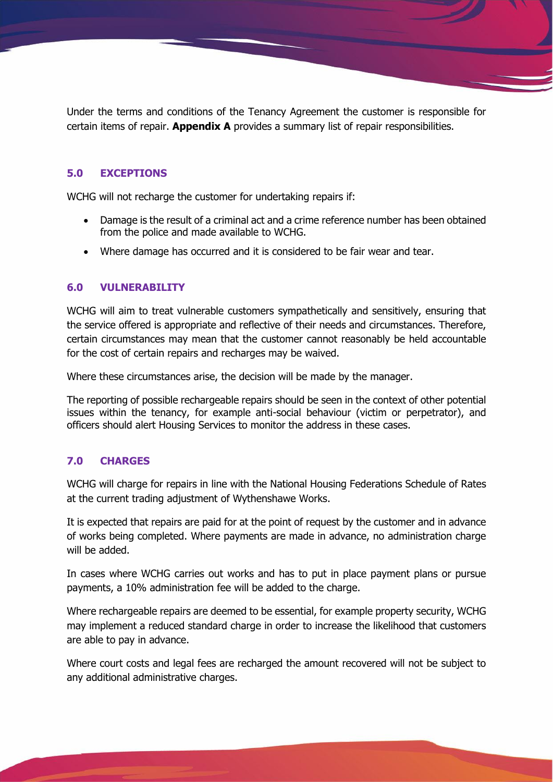Under the terms and conditions of the Tenancy Agreement the customer is responsible for certain items of repair. **Appendix A** provides a summary list of repair responsibilities.

## **5.0 EXCEPTIONS**

WCHG will not recharge the customer for undertaking repairs if:

- Damage is the result of a criminal act and a crime reference number has been obtained from the police and made available to WCHG.
- Where damage has occurred and it is considered to be fair wear and tear.

#### **6.0 VULNERABILITY**

WCHG will aim to treat vulnerable customers sympathetically and sensitively, ensuring that the service offered is appropriate and reflective of their needs and circumstances. Therefore, certain circumstances may mean that the customer cannot reasonably be held accountable for the cost of certain repairs and recharges may be waived.

Where these circumstances arise, the decision will be made by the manager.

The reporting of possible rechargeable repairs should be seen in the context of other potential issues within the tenancy, for example anti-social behaviour (victim or perpetrator), and officers should alert Housing Services to monitor the address in these cases.

#### **7.0 CHARGES**

WCHG will charge for repairs in line with the National Housing Federations Schedule of Rates at the current trading adjustment of Wythenshawe Works.

It is expected that repairs are paid for at the point of request by the customer and in advance of works being completed. Where payments are made in advance, no administration charge will be added.

In cases where WCHG carries out works and has to put in place payment plans or pursue payments, a 10% administration fee will be added to the charge.

Where rechargeable repairs are deemed to be essential, for example property security, WCHG may implement a reduced standard charge in order to increase the likelihood that customers are able to pay in advance.

Where court costs and legal fees are recharged the amount recovered will not be subject to any additional administrative charges.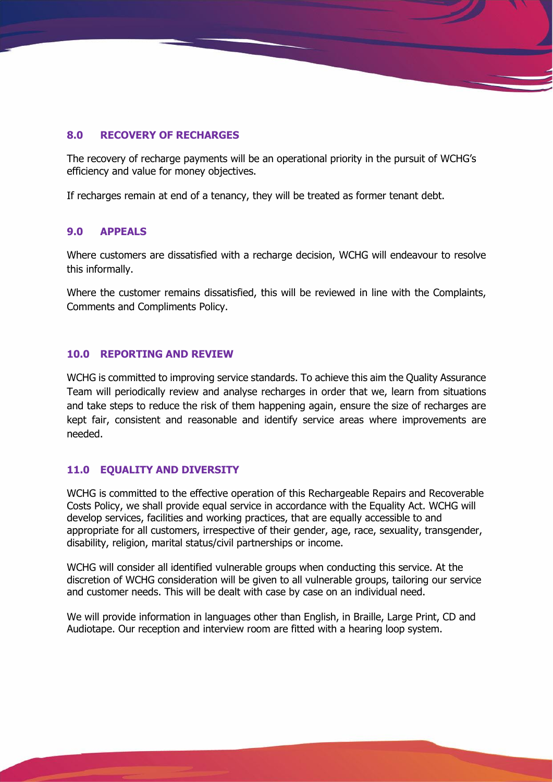## **8.0 RECOVERY OF RECHARGES**

The recovery of recharge payments will be an operational priority in the pursuit of WCHG's efficiency and value for money objectives.

If recharges remain at end of a tenancy, they will be treated as former tenant debt.

#### **9.0 APPEALS**

Where customers are dissatisfied with a recharge decision, WCHG will endeavour to resolve this informally.

Where the customer remains dissatisfied, this will be reviewed in line with the Complaints, Comments and Compliments Policy.

#### **10.0 REPORTING AND REVIEW**

WCHG is committed to improving service standards. To achieve this aim the Quality Assurance Team will periodically review and analyse recharges in order that we, learn from situations and take steps to reduce the risk of them happening again, ensure the size of recharges are kept fair, consistent and reasonable and identify service areas where improvements are needed.

# **11.0 EQUALITY AND DIVERSITY**

WCHG is committed to the effective operation of this Rechargeable Repairs and Recoverable Costs Policy, we shall provide equal service in accordance with the Equality Act. WCHG will develop services, facilities and working practices, that are equally accessible to and appropriate for all customers, irrespective of their gender, age, race, sexuality, transgender, disability, religion, marital status/civil partnerships or income.

WCHG will consider all identified vulnerable groups when conducting this service. At the discretion of WCHG consideration will be given to all vulnerable groups, tailoring our service and customer needs. This will be dealt with case by case on an individual need.

We will provide information in languages other than English, in Braille, Large Print, CD and Audiotape. Our reception and interview room are fitted with a hearing loop system.